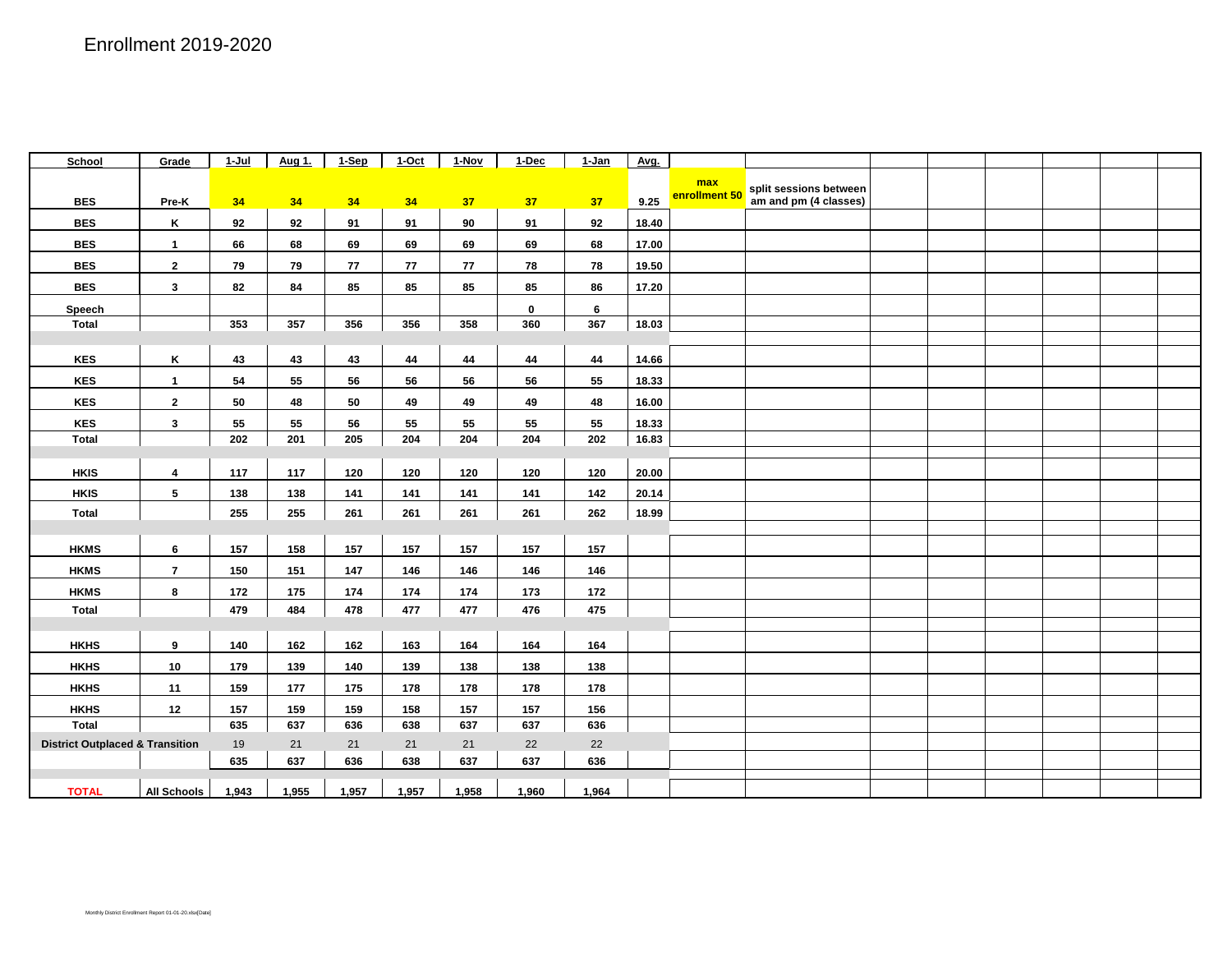| School                                     | Grade                   | $1-Jul$ | Aug 1. | 1-Sep | $1-Oct$ | $1 - Nov$ | 1-Dec           | $1-Jan$        | Avg.  |               |                        |  |  |  |
|--------------------------------------------|-------------------------|---------|--------|-------|---------|-----------|-----------------|----------------|-------|---------------|------------------------|--|--|--|
|                                            |                         |         |        |       |         |           |                 |                |       | max           | split sessions between |  |  |  |
| <b>BES</b>                                 | Pre-K                   | 34      | 34     | 34    | 34      | 37        | 37 <sub>z</sub> | 37             | 9.25  | enrollment 50 | am and pm (4 classes)  |  |  |  |
| <b>BES</b>                                 | Κ                       | 92      | 92     | 91    | 91      | 90        | 91              | 92             | 18.40 |               |                        |  |  |  |
| <b>BES</b>                                 | $\mathbf{1}$            | 66      | 68     | 69    | 69      | 69        | 69              | 68             | 17.00 |               |                        |  |  |  |
| <b>BES</b>                                 | $\overline{2}$          | 79      | 79     | 77    | 77      | 77        | 78              | 78             | 19.50 |               |                        |  |  |  |
| <b>BES</b>                                 | $\mathbf{3}$            | 82      | 84     | 85    | 85      | 85        | 85              | 86             | 17.20 |               |                        |  |  |  |
| Speech                                     |                         |         |        |       |         |           | $\mathbf 0$     | $6\phantom{.}$ |       |               |                        |  |  |  |
| <b>Total</b>                               |                         | 353     | 357    | 356   | 356     | 358       | 360             | 367            | 18.03 |               |                        |  |  |  |
|                                            |                         |         |        |       |         |           |                 |                |       |               |                        |  |  |  |
| <b>KES</b>                                 | K                       | 43      | 43     | 43    | 44      | 44        | 44              | 44             | 14.66 |               |                        |  |  |  |
| <b>KES</b>                                 | $\mathbf{1}$            | 54      | 55     | 56    | 56      | 56        | 56              | 55             | 18.33 |               |                        |  |  |  |
| <b>KES</b>                                 | $\overline{2}$          | 50      | 48     | 50    | 49      | 49        | 49              | 48             | 16.00 |               |                        |  |  |  |
| KES                                        | $\overline{\mathbf{3}}$ | 55      | 55     | 56    | 55      | 55        | 55              | 55             | 18.33 |               |                        |  |  |  |
| <b>Total</b>                               |                         | 202     | 201    | 205   | 204     | 204       | 204             | 202            | 16.83 |               |                        |  |  |  |
|                                            |                         |         |        |       |         |           |                 |                |       |               |                        |  |  |  |
| <b>HKIS</b>                                | $\overline{\mathbf{4}}$ | 117     | 117    | 120   | 120     | 120       | 120             | 120            | 20.00 |               |                        |  |  |  |
| <b>HKIS</b>                                | $\overline{\mathbf{5}}$ | 138     | 138    | 141   | 141     | 141       | 141             | 142            | 20.14 |               |                        |  |  |  |
| <b>Total</b>                               |                         | 255     | 255    | 261   | 261     | 261       | 261             | 262            | 18.99 |               |                        |  |  |  |
|                                            |                         |         |        |       |         |           |                 |                |       |               |                        |  |  |  |
| <b>HKMS</b>                                | 6                       | 157     | 158    | 157   | 157     | 157       | 157             | 157            |       |               |                        |  |  |  |
| <b>HKMS</b>                                | $\overline{7}$          | 150     | 151    | 147   | 146     | 146       | 146             | 146            |       |               |                        |  |  |  |
| <b>HKMS</b>                                | 8                       | 172     | 175    | 174   | 174     | 174       | 173             | 172            |       |               |                        |  |  |  |
| <b>Total</b>                               |                         | 479     | 484    | 478   | 477     | 477       | 476             | 475            |       |               |                        |  |  |  |
|                                            |                         |         |        |       |         |           |                 |                |       |               |                        |  |  |  |
| <b>HKHS</b>                                | 9                       | 140     | 162    | 162   | 163     | 164       | 164             | 164            |       |               |                        |  |  |  |
| <b>HKHS</b>                                | 10                      | 179     | 139    | 140   | 139     | 138       | 138             | 138            |       |               |                        |  |  |  |
| <b>HKHS</b>                                | 11                      | 159     | 177    | 175   | 178     | 178       | 178             | 178            |       |               |                        |  |  |  |
| <b>HKHS</b>                                | 12                      | 157     | 159    | 159   | 158     | 157       | 157             | 156            |       |               |                        |  |  |  |
| <b>Total</b>                               |                         | 635     | 637    | 636   | 638     | 637       | 637             | 636            |       |               |                        |  |  |  |
| <b>District Outplaced &amp; Transition</b> |                         | 19      | 21     | 21    | 21      | 21        | 22              | 22             |       |               |                        |  |  |  |
|                                            |                         | 635     | 637    | 636   | 638     | 637       | 637             | 636            |       |               |                        |  |  |  |
| <b>TOTAL</b>                               | <b>All Schools</b>      | 1,943   | 1,955  | 1,957 | 1,957   | 1,958     | 1,960           | 1,964          |       |               |                        |  |  |  |
|                                            |                         |         |        |       |         |           |                 |                |       |               |                        |  |  |  |